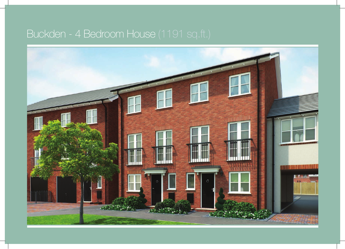## Buckden - 4 Bedroom House (1191 sq.ft.)